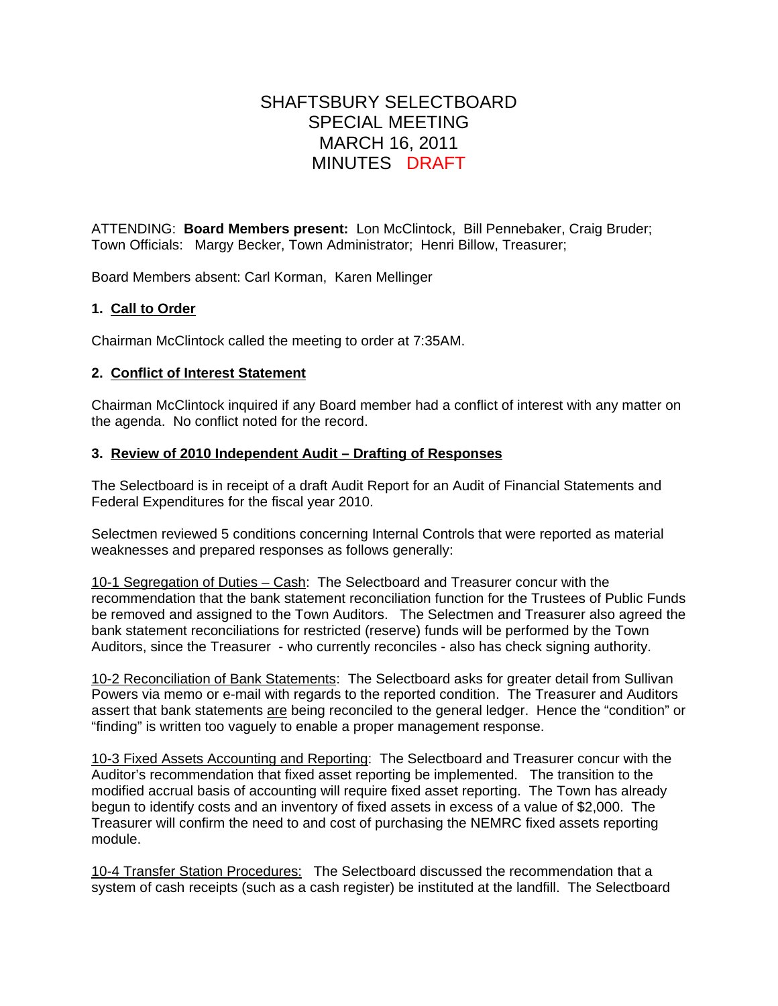# SHAFTSBURY SELECTBOARD SPECIAL MEETING MARCH 16, 2011 MINUTES DRAFT

ATTENDING: **Board Members present:** Lon McClintock, Bill Pennebaker, Craig Bruder; Town Officials: Margy Becker, Town Administrator; Henri Billow, Treasurer;

Board Members absent: Carl Korman, Karen Mellinger

### **1. Call to Order**

Chairman McClintock called the meeting to order at 7:35AM.

#### **2. Conflict of Interest Statement**

Chairman McClintock inquired if any Board member had a conflict of interest with any matter on the agenda. No conflict noted for the record.

#### **3. Review of 2010 Independent Audit – Drafting of Responses**

The Selectboard is in receipt of a draft Audit Report for an Audit of Financial Statements and Federal Expenditures for the fiscal year 2010.

Selectmen reviewed 5 conditions concerning Internal Controls that were reported as material weaknesses and prepared responses as follows generally:

10-1 Segregation of Duties – Cash: The Selectboard and Treasurer concur with the recommendation that the bank statement reconciliation function for the Trustees of Public Funds be removed and assigned to the Town Auditors. The Selectmen and Treasurer also agreed the bank statement reconciliations for restricted (reserve) funds will be performed by the Town Auditors, since the Treasurer - who currently reconciles - also has check signing authority.

10-2 Reconciliation of Bank Statements: The Selectboard asks for greater detail from Sullivan Powers via memo or e-mail with regards to the reported condition. The Treasurer and Auditors assert that bank statements are being reconciled to the general ledger. Hence the "condition" or "finding" is written too vaguely to enable a proper management response.

10-3 Fixed Assets Accounting and Reporting: The Selectboard and Treasurer concur with the Auditor's recommendation that fixed asset reporting be implemented. The transition to the modified accrual basis of accounting will require fixed asset reporting. The Town has already begun to identify costs and an inventory of fixed assets in excess of a value of \$2,000. The Treasurer will confirm the need to and cost of purchasing the NEMRC fixed assets reporting module.

10-4 Transfer Station Procedures: The Selectboard discussed the recommendation that a system of cash receipts (such as a cash register) be instituted at the landfill. The Selectboard